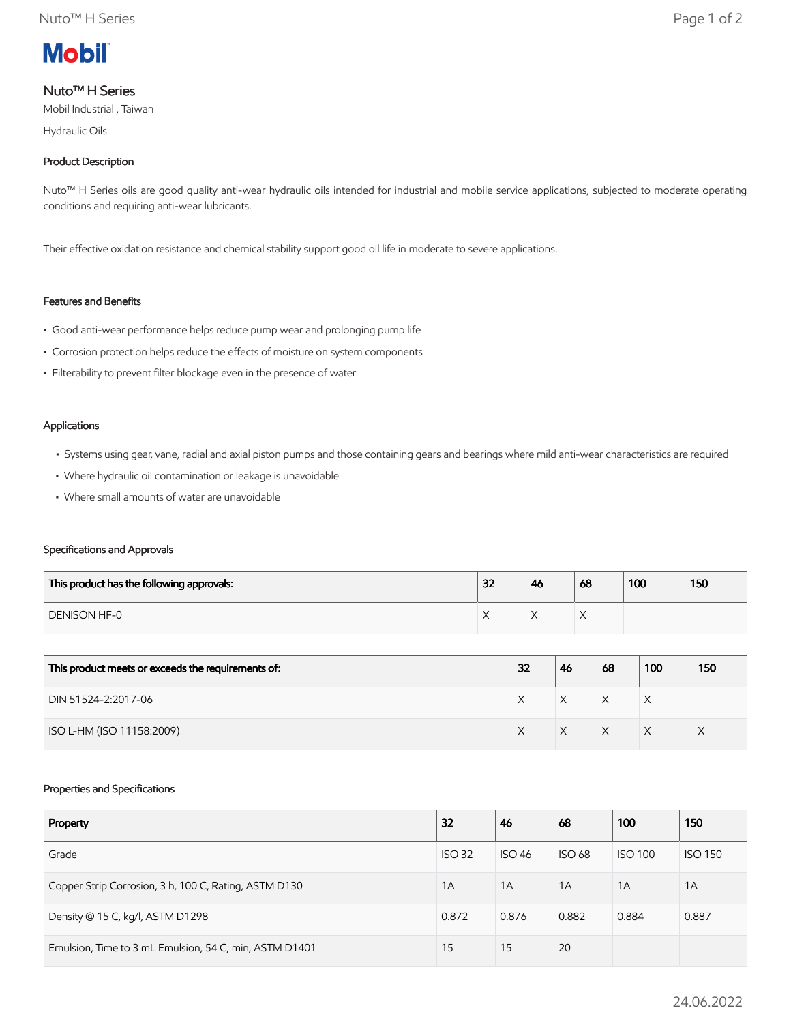

## Nuto™ H Series

Mobil Industrial , Taiwan

Hydraulic Oils

## Product Description

Nuto™ H Series oils are good quality anti-wear hydraulic oils intended for industrial and mobile service applications, subjected to moderate operating conditions and requiring anti-wear lubricants.

Their effective oxidation resistance and chemical stability support good oil life in moderate to severe applications.

### Features and Benefits

- Good anti-wear performance helps reduce pump wear and prolonging pump life
- Corrosion protection helps reduce the effects of moisture on system components
- Filterability to prevent filter blockage even in the presence of water

#### Applications

- Systems using gear, vane, radial and axial piston pumps and those containing gears and bearings where mild anti-wear characteristics are required
- Where hydraulic oil contamination or leakage is unavoidable
- Where small amounts of water are unavoidable

#### Specifications and Approvals

| This product has the following approvals: | 32 | 46 | 68 | 100 | 150 |
|-------------------------------------------|----|----|----|-----|-----|
| DENISON HF-0                              |    |    |    |     |     |

| This product meets or exceeds the requirements of: | 32 | 46 | 68 | 100 | 150 |
|----------------------------------------------------|----|----|----|-----|-----|
| DIN 51524-2:2017-06                                |    | X  | X  | ⋏   |     |
| ISO L-HM (ISO 11158:2009)                          |    |    | X  |     |     |

#### Properties and Specifications

| Property                                               | 32            | 46            | 68            | 100            | 150            |
|--------------------------------------------------------|---------------|---------------|---------------|----------------|----------------|
| Grade                                                  | <b>ISO 32</b> | <b>ISO 46</b> | <b>ISO 68</b> | <b>ISO 100</b> | <b>ISO 150</b> |
| Copper Strip Corrosion, 3 h, 100 C, Rating, ASTM D130  | 1A            | 1A            | 1A            | 1A             | 1A             |
| Density @ 15 C, kg/l, ASTM D1298                       | 0.872         | 0.876         | 0.882         | 0.884          | 0.887          |
| Emulsion, Time to 3 mL Emulsion, 54 C, min, ASTM D1401 | 15            | 15            | 20            |                |                |